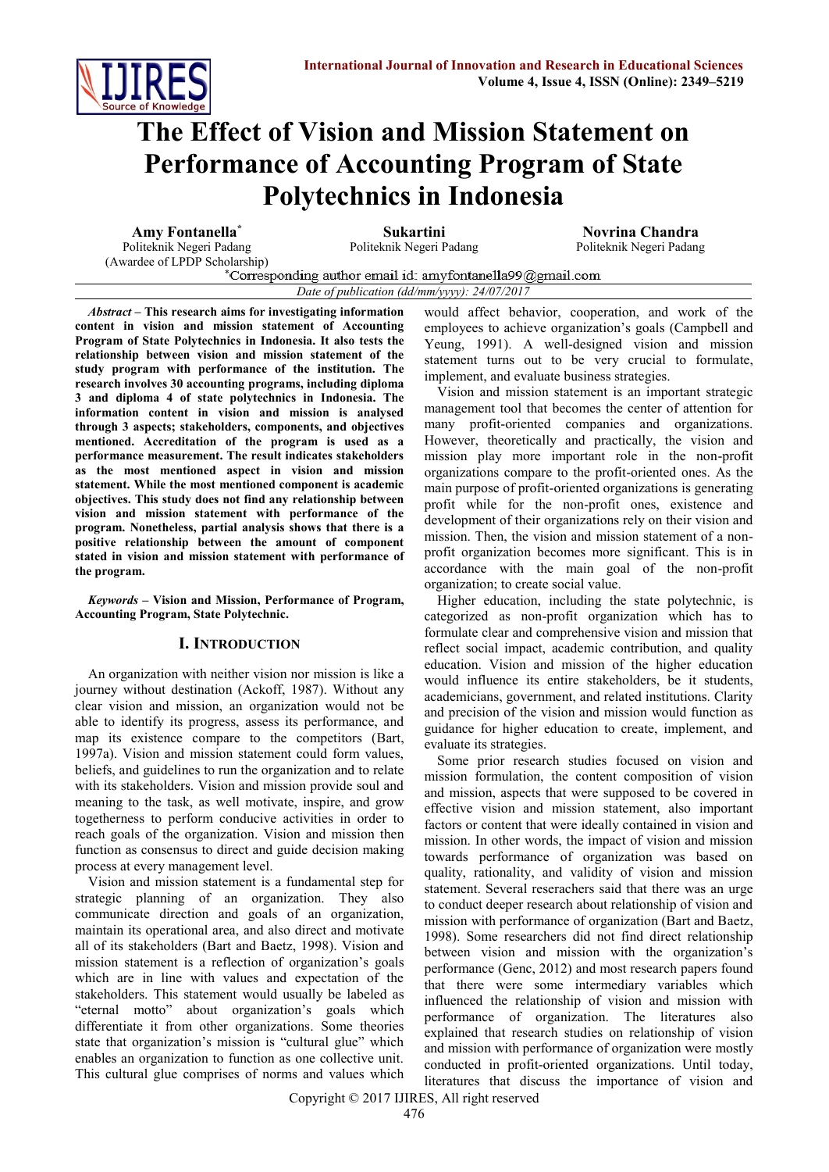

# **The Effect of Vision and Mission Statement on Performance of Accounting Program of State Polytechnics in Indonesia**

**Amy Fontanella\* Sukartini Novrina Chandra** Politeknik Negeri Padang

Politeknik Negeri Padang

(Awardee of LPDP Scholarship)<br>
\*Corresponding author email id: amyfontanella99@gmail.com *Date of publication (dd/mm/yyyy): 24/07/2017*

*Abstract* **– This research aims for investigating information content in vision and mission statement of Accounting Program of State Polytechnics in Indonesia. It also tests the relationship between vision and mission statement of the study program with performance of the institution. The research involves 30 accounting programs, including diploma 3 and diploma 4 of state polytechnics in Indonesia. The information content in vision and mission is analysed through 3 aspects; stakeholders, components, and objectives mentioned. Accreditation of the program is used as a performance measurement. The result indicates stakeholders as the most mentioned aspect in vision and mission statement. While the most mentioned component is academic objectives. This study does not find any relationship between vision and mission statement with performance of the program. Nonetheless, partial analysis shows that there is a positive relationship between the amount of component stated in vision and mission statement with performance of the program.**

*Keywords* **– Vision and Mission, Performance of Program, Accounting Program, State Polytechnic.**

# **I. INTRODUCTION**

An organization with neither vision nor mission is like a journey without destination (Ackoff, 1987). Without any clear vision and mission, an organization would not be able to identify its progress, assess its performance, and map its existence compare to the competitors (Bart, 1997a). Vision and mission statement could form values, beliefs, and guidelines to run the organization and to relate with its stakeholders. Vision and mission provide soul and meaning to the task, as well motivate, inspire, and grow togetherness to perform conducive activities in order to reach goals of the organization. Vision and mission then function as consensus to direct and guide decision making process at every management level.

Vision and mission statement is a fundamental step for strategic planning of an organization. They also communicate direction and goals of an organization, maintain its operational area, and also direct and motivate all of its stakeholders (Bart and Baetz, 1998). Vision and mission statement is a reflection of organization's goals which are in line with values and expectation of the stakeholders. This statement would usually be labeled as "eternal motto" about organization's goals which differentiate it from other organizations. Some theories state that organization's mission is "cultural glue" which enables an organization to function as one collective unit. This cultural glue comprises of norms and values which

would affect behavior, cooperation, and work of the employees to achieve organization's goals (Campbell and Yeung, 1991). A well-designed vision and mission statement turns out to be very crucial to formulate, implement, and evaluate business strategies.

Vision and mission statement is an important strategic management tool that becomes the center of attention for many profit-oriented companies and organizations. However, theoretically and practically, the vision and mission play more important role in the non-profit organizations compare to the profit-oriented ones. As the main purpose of profit-oriented organizations is generating profit while for the non-profit ones, existence and development of their organizations rely on their vision and mission. Then, the vision and mission statement of a nonprofit organization becomes more significant. This is in accordance with the main goal of the non-profit organization; to create social value.

Higher education, including the state polytechnic, is categorized as non-profit organization which has to formulate clear and comprehensive vision and mission that reflect social impact, academic contribution, and quality education. Vision and mission of the higher education would influence its entire stakeholders, be it students, academicians, government, and related institutions. Clarity and precision of the vision and mission would function as guidance for higher education to create, implement, and evaluate its strategies.

Some prior research studies focused on vision and mission formulation, the content composition of vision and mission, aspects that were supposed to be covered in effective vision and mission statement, also important factors or content that were ideally contained in vision and mission. In other words, the impact of vision and mission towards performance of organization was based on quality, rationality, and validity of vision and mission statement. Several reserachers said that there was an urge to conduct deeper research about relationship of vision and mission with performance of organization (Bart and Baetz, 1998). Some researchers did not find direct relationship between vision and mission with the organization's performance (Genc, 2012) and most research papers found that there were some intermediary variables which influenced the relationship of vision and mission with performance of organization. The literatures also explained that research studies on relationship of vision and mission with performance of organization were mostly conducted in profit-oriented organizations. Until today, literatures that discuss the importance of vision and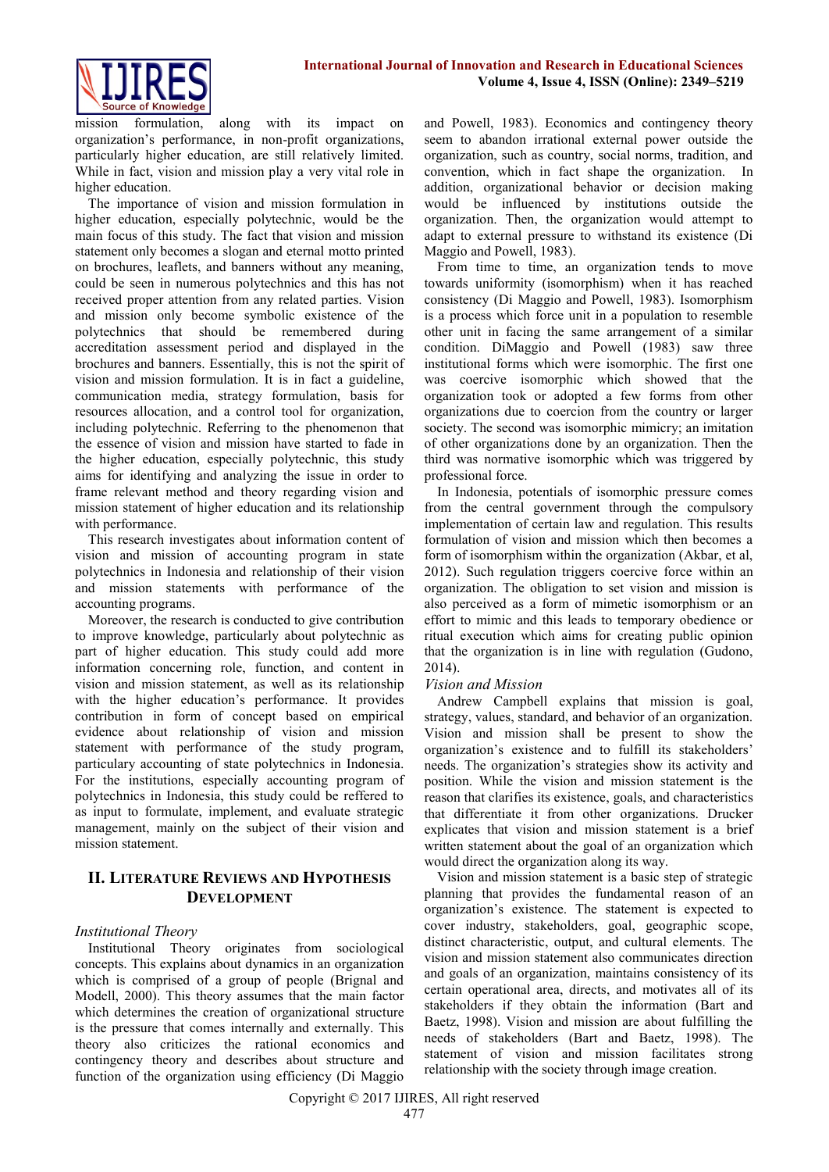

mission formulation, along with its impact on organization's performance, in non-profit organizations, particularly higher education, are still relatively limited. While in fact, vision and mission play a very vital role in higher education.

The importance of vision and mission formulation in higher education, especially polytechnic, would be the main focus of this study. The fact that vision and mission statement only becomes a slogan and eternal motto printed on brochures, leaflets, and banners without any meaning, could be seen in numerous polytechnics and this has not received proper attention from any related parties. Vision and mission only become symbolic existence of the polytechnics that should be remembered during accreditation assessment period and displayed in the brochures and banners. Essentially, this is not the spirit of vision and mission formulation. It is in fact a guideline, communication media, strategy formulation, basis for resources allocation, and a control tool for organization, including polytechnic. Referring to the phenomenon that the essence of vision and mission have started to fade in the higher education, especially polytechnic, this study aims for identifying and analyzing the issue in order to frame relevant method and theory regarding vision and mission statement of higher education and its relationship with performance.

This research investigates about information content of vision and mission of accounting program in state polytechnics in Indonesia and relationship of their vision and mission statements with performance of the accounting programs.

Moreover, the research is conducted to give contribution to improve knowledge, particularly about polytechnic as part of higher education. This study could add more information concerning role, function, and content in vision and mission statement, as well as its relationship with the higher education's performance. It provides contribution in form of concept based on empirical evidence about relationship of vision and mission statement with performance of the study program, particulary accounting of state polytechnics in Indonesia. For the institutions, especially accounting program of polytechnics in Indonesia, this study could be reffered to as input to formulate, implement, and evaluate strategic management, mainly on the subject of their vision and mission statement.

# **II. LITERATURE REVIEWS AND HYPOTHESIS DEVELOPMENT**

# *Institutional Theory*

Institutional Theory originates from sociological concepts. This explains about dynamics in an organization which is comprised of a group of people (Brignal and Modell, 2000). This theory assumes that the main factor which determines the creation of organizational structure is the pressure that comes internally and externally. This theory also criticizes the rational economics and contingency theory and describes about structure and function of the organization using efficiency (Di Maggio and Powell, 1983). Economics and contingency theory seem to abandon irrational external power outside the organization, such as country, social norms, tradition, and convention, which in fact shape the organization. In addition, organizational behavior or decision making would be influenced by institutions outside the organization. Then, the organization would attempt to adapt to external pressure to withstand its existence (Di Maggio and Powell, 1983).

From time to time, an organization tends to move towards uniformity (isomorphism) when it has reached consistency (Di Maggio and Powell, 1983). Isomorphism is a process which force unit in a population to resemble other unit in facing the same arrangement of a similar condition. DiMaggio and Powell (1983) saw three institutional forms which were isomorphic. The first one was coercive isomorphic which showed that the organization took or adopted a few forms from other organizations due to coercion from the country or larger society. The second was isomorphic mimicry; an imitation of other organizations done by an organization. Then the third was normative isomorphic which was triggered by professional force.

In Indonesia, potentials of isomorphic pressure comes from the central government through the compulsory implementation of certain law and regulation. This results formulation of vision and mission which then becomes a form of isomorphism within the organization (Akbar, et al, 2012). Such regulation triggers coercive force within an organization. The obligation to set vision and mission is also perceived as a form of mimetic isomorphism or an effort to mimic and this leads to temporary obedience or ritual execution which aims for creating public opinion that the organization is in line with regulation (Gudono, 2014).

#### *Vision and Mission*

Andrew Campbell explains that mission is goal, strategy, values, standard, and behavior of an organization. Vision and mission shall be present to show the organization's existence and to fulfill its stakeholders' needs. The organization's strategies show its activity and position. While the vision and mission statement is the reason that clarifies its existence, goals, and characteristics that differentiate it from other organizations. Drucker explicates that vision and mission statement is a brief written statement about the goal of an organization which would direct the organization along its way.

Vision and mission statement is a basic step of strategic planning that provides the fundamental reason of an organization's existence. The statement is expected to cover industry, stakeholders, goal, geographic scope, distinct characteristic, output, and cultural elements. The vision and mission statement also communicates direction and goals of an organization, maintains consistency of its certain operational area, directs, and motivates all of its stakeholders if they obtain the information (Bart and Baetz, 1998). Vision and mission are about fulfilling the needs of stakeholders (Bart and Baetz, 1998). The statement of vision and mission facilitates strong relationship with the society through image creation.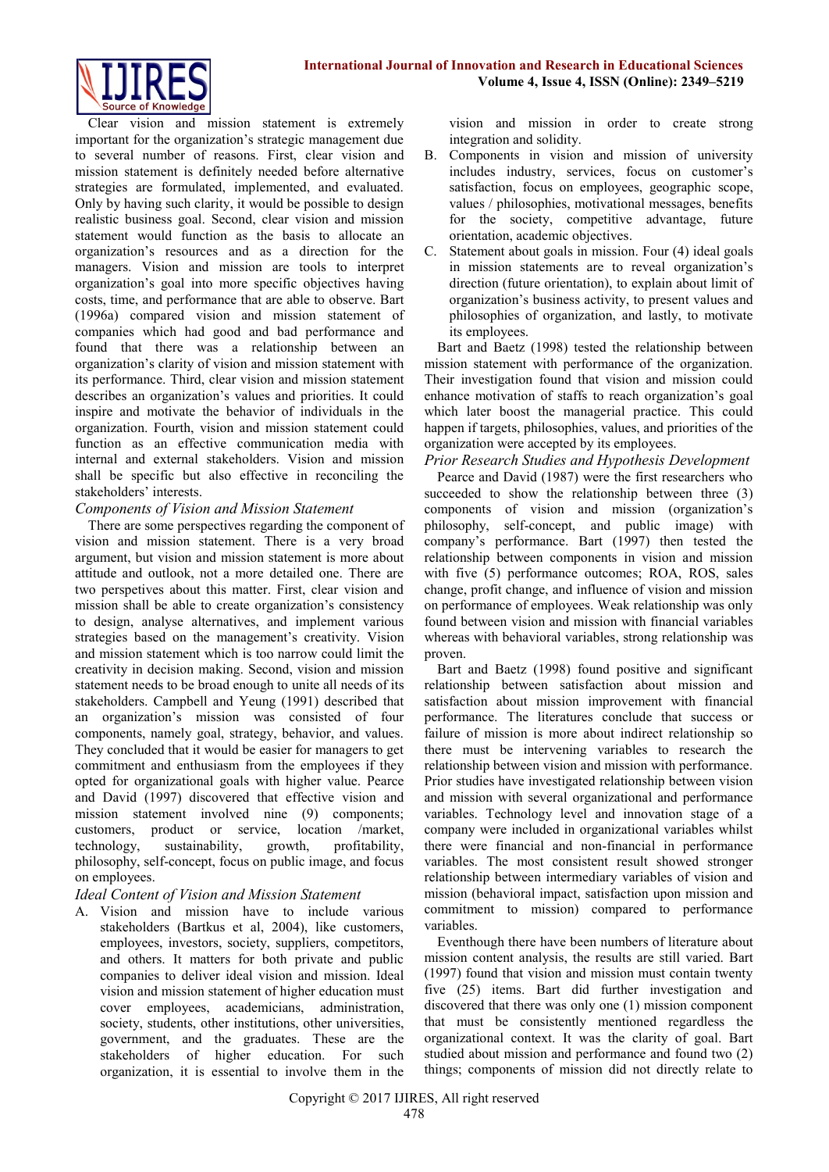

Clear vision and mission statement is extremely important for the organization's strategic management due to several number of reasons. First, clear vision and mission statement is definitely needed before alternative strategies are formulated, implemented, and evaluated. Only by having such clarity, it would be possible to design realistic business goal. Second, clear vision and mission statement would function as the basis to allocate an organization's resources and as a direction for the managers. Vision and mission are tools to interpret organization's goal into more specific objectives having costs, time, and performance that are able to observe. Bart (1996a) compared vision and mission statement of companies which had good and bad performance and found that there was a relationship between an organization's clarity of vision and mission statement with its performance. Third, clear vision and mission statement describes an organization's values and priorities. It could inspire and motivate the behavior of individuals in the organization. Fourth, vision and mission statement could function as an effective communication media with internal and external stakeholders. Vision and mission shall be specific but also effective in reconciling the stakeholders' interests.

#### *Components of Vision and Mission Statement*

There are some perspectives regarding the component of vision and mission statement. There is a very broad argument, but vision and mission statement is more about attitude and outlook, not a more detailed one. There are two perspetives about this matter. First, clear vision and mission shall be able to create organization's consistency to design, analyse alternatives, and implement various strategies based on the management's creativity. Vision and mission statement which is too narrow could limit the creativity in decision making. Second, vision and mission statement needs to be broad enough to unite all needs of its stakeholders. Campbell and Yeung (1991) described that an organization's mission was consisted of four components, namely goal, strategy, behavior, and values. They concluded that it would be easier for managers to get commitment and enthusiasm from the employees if they opted for organizational goals with higher value. Pearce and David (1997) discovered that effective vision and mission statement involved nine (9) components; customers, product or service, location /market, technology, sustainability, growth, profitability, philosophy, self-concept, focus on public image, and focus on employees.

# *Ideal Content of Vision and Mission Statement*

A. Vision and mission have to include various stakeholders (Bartkus et al, 2004), like customers, employees, investors, society, suppliers, competitors, and others. It matters for both private and public companies to deliver ideal vision and mission. Ideal vision and mission statement of higher education must cover employees, academicians, administration, society, students, other institutions, other universities, government, and the graduates. These are the stakeholders of higher education. For such organization, it is essential to involve them in the

vision and mission in order to create strong integration and solidity.

- B. Components in vision and mission of university includes industry, services, focus on customer's satisfaction, focus on employees, geographic scope, values / philosophies, motivational messages, benefits for the society, competitive advantage, future orientation, academic objectives.
- C. Statement about goals in mission. Four (4) ideal goals in mission statements are to reveal organization's direction (future orientation), to explain about limit of organization's business activity, to present values and philosophies of organization, and lastly, to motivate its employees.

Bart and Baetz (1998) tested the relationship between mission statement with performance of the organization. Their investigation found that vision and mission could enhance motivation of staffs to reach organization's goal which later boost the managerial practice. This could happen if targets, philosophies, values, and priorities of the organization were accepted by its employees.

*Prior Research Studies and Hypothesis Development* Pearce and David (1987) were the first researchers who succeeded to show the relationship between three (3) components of vision and mission (organization's philosophy, self-concept, and public image) with company's performance. Bart (1997) then tested the relationship between components in vision and mission with five (5) performance outcomes; ROA, ROS, sales change, profit change, and influence of vision and mission on performance of employees. Weak relationship was only found between vision and mission with financial variables whereas with behavioral variables, strong relationship was proven.

Bart and Baetz (1998) found positive and significant relationship between satisfaction about mission and satisfaction about mission improvement with financial performance. The literatures conclude that success or failure of mission is more about indirect relationship so there must be intervening variables to research the relationship between vision and mission with performance. Prior studies have investigated relationship between vision and mission with several organizational and performance variables. Technology level and innovation stage of a company were included in organizational variables whilst there were financial and non-financial in performance variables. The most consistent result showed stronger relationship between intermediary variables of vision and mission (behavioral impact, satisfaction upon mission and commitment to mission) compared to performance variables.

Eventhough there have been numbers of literature about mission content analysis, the results are still varied. Bart (1997) found that vision and mission must contain twenty five (25) items. Bart did further investigation and discovered that there was only one (1) mission component that must be consistently mentioned regardless the organizational context. It was the clarity of goal. Bart studied about mission and performance and found two (2) things; components of mission did not directly relate to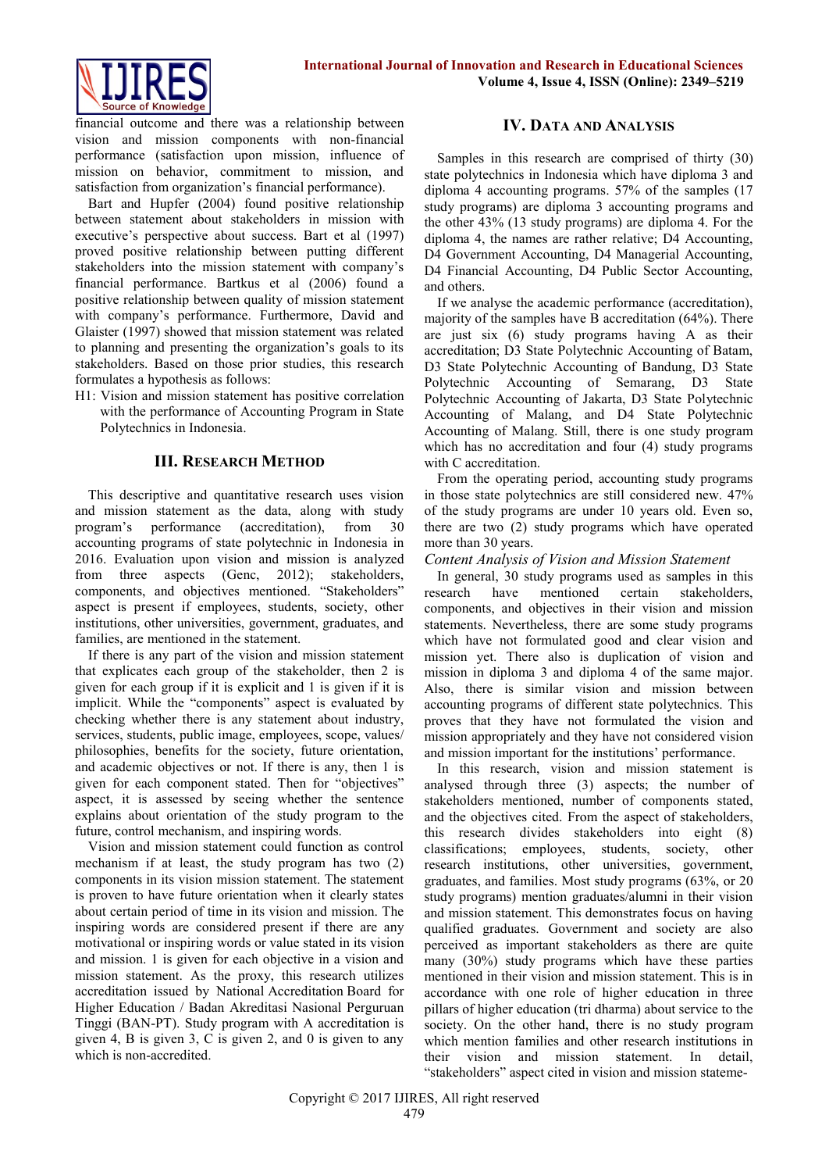

financial outcome and there was a relationship between vision and mission components with non-financial performance (satisfaction upon mission, influence of mission on behavior, commitment to mission, and satisfaction from organization's financial performance).

Bart and Hupfer (2004) found positive relationship between statement about stakeholders in mission with executive's perspective about success. Bart et al (1997) proved positive relationship between putting different stakeholders into the mission statement with company's financial performance. Bartkus et al (2006) found a positive relationship between quality of mission statement with company's performance. Furthermore, David and Glaister (1997) showed that mission statement was related to planning and presenting the organization's goals to its stakeholders. Based on those prior studies, this research formulates a hypothesis as follows:

H1: Vision and mission statement has positive correlation with the performance of Accounting Program in State Polytechnics in Indonesia.

# **III. RESEARCH METHOD**

This descriptive and quantitative research uses vision and mission statement as the data, along with study program's performance (accreditation), from 30 accounting programs of state polytechnic in Indonesia in 2016. Evaluation upon vision and mission is analyzed from three aspects (Genc, 2012); stakeholders, components, and objectives mentioned. "Stakeholders" aspect is present if employees, students, society, other institutions, other universities, government, graduates, and families, are mentioned in the statement.

If there is any part of the vision and mission statement that explicates each group of the stakeholder, then 2 is given for each group if it is explicit and 1 is given if it is implicit. While the "components" aspect is evaluated by checking whether there is any statement about industry, services, students, public image, employees, scope, values/ philosophies, benefits for the society, future orientation, and academic objectives or not. If there is any, then 1 is given for each component stated. Then for "objectives" aspect, it is assessed by seeing whether the sentence explains about orientation of the study program to the future, control mechanism, and inspiring words.

Vision and mission statement could function as control mechanism if at least, the study program has two (2) components in its vision mission statement. The statement is proven to have future orientation when it clearly states about certain period of time in its vision and mission. The inspiring words are considered present if there are any motivational or inspiring words or value stated in its vision and mission. 1 is given for each objective in a vision and mission statement. As the proxy, this research utilizes accreditation issued by National Accreditation Board for Higher Education / Badan Akreditasi Nasional Perguruan Tinggi (BAN-PT). Study program with A accreditation is given 4, B is given 3, C is given 2, and 0 is given to any which is non-accredited.

# **IV. DATA AND ANALYSIS**

Samples in this research are comprised of thirty (30) state polytechnics in Indonesia which have diploma 3 and diploma 4 accounting programs. 57% of the samples (17 study programs) are diploma 3 accounting programs and the other 43% (13 study programs) are diploma 4. For the diploma 4, the names are rather relative; D4 Accounting, D4 Government Accounting, D4 Managerial Accounting, D4 Financial Accounting, D4 Public Sector Accounting, and others.

If we analyse the academic performance (accreditation), majority of the samples have B accreditation (64%). There are just six (6) study programs having A as their accreditation; D3 State Polytechnic Accounting of Batam, D3 State Polytechnic Accounting of Bandung, D3 State Polytechnic Accounting of Semarang, D3 State Polytechnic Accounting of Jakarta, D3 State Polytechnic Accounting of Malang, and D4 State Polytechnic Accounting of Malang. Still, there is one study program which has no accreditation and four (4) study programs with C accreditation.

From the operating period, accounting study programs in those state polytechnics are still considered new. 47% of the study programs are under 10 years old. Even so, there are two (2) study programs which have operated more than 30 years.

#### *Content Analysis of Vision and Mission Statement*

In general, 30 study programs used as samples in this research have mentioned certain stakeholders, components, and objectives in their vision and mission statements. Nevertheless, there are some study programs which have not formulated good and clear vision and mission yet. There also is duplication of vision and mission in diploma 3 and diploma 4 of the same major. Also, there is similar vision and mission between accounting programs of different state polytechnics. This proves that they have not formulated the vision and mission appropriately and they have not considered vision and mission important for the institutions' performance.

In this research, vision and mission statement is analysed through three (3) aspects; the number of stakeholders mentioned, number of components stated, and the objectives cited. From the aspect of stakeholders, this research divides stakeholders into eight (8) classifications; employees, students, society, other research institutions, other universities, government, graduates, and families. Most study programs (63%, or 20 study programs) mention graduates/alumni in their vision and mission statement. This demonstrates focus on having qualified graduates. Government and society are also perceived as important stakeholders as there are quite many (30%) study programs which have these parties mentioned in their vision and mission statement. This is in accordance with one role of higher education in three pillars of higher education (tri dharma) about service to the society. On the other hand, there is no study program which mention families and other research institutions in their vision and mission statement. In detail, "stakeholders" aspect cited in vision and mission stateme-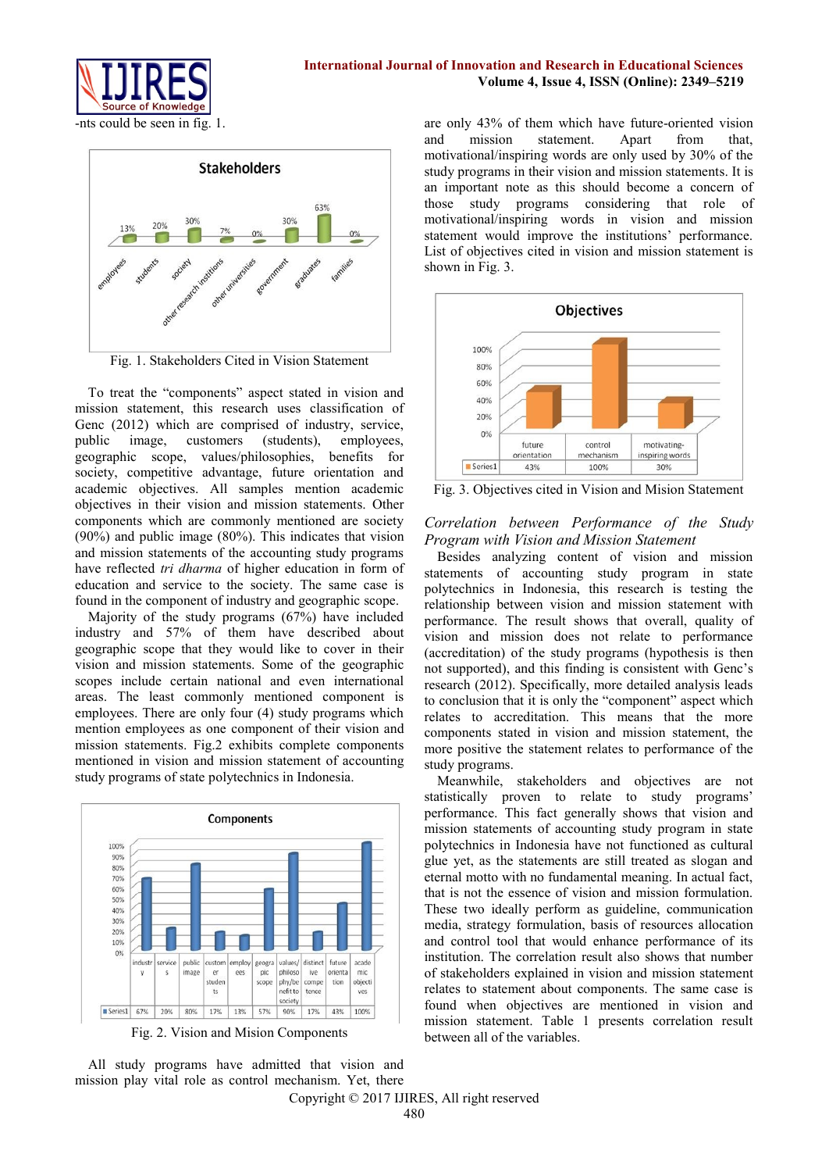

#### **International Journal of Innovation and Research in Educational Sciences Volume 4, Issue 4, ISSN (Online): 2349–5219**

-nts could be seen in fig. 1.



Fig. 1. Stakeholders Cited in Vision Statement

To treat the "components" aspect stated in vision and mission statement, this research uses classification of Genc (2012) which are comprised of industry, service, public image, customers (students), employees, geographic scope, values/philosophies, benefits for society, competitive advantage, future orientation and academic objectives. All samples mention academic objectives in their vision and mission statements. Other components which are commonly mentioned are society (90%) and public image (80%). This indicates that vision and mission statements of the accounting study programs have reflected *tri dharma* of higher education in form of education and service to the society. The same case is found in the component of industry and geographic scope.

Majority of the study programs (67%) have included industry and 57% of them have described about geographic scope that they would like to cover in their vision and mission statements. Some of the geographic scopes include certain national and even international areas. The least commonly mentioned component is employees. There are only four (4) study programs which mention employees as one component of their vision and mission statements. Fig.2 exhibits complete components mentioned in vision and mission statement of accounting study programs of state polytechnics in Indonesia.



Fig. 2. Vision and Mision Components

All study programs have admitted that vision and mission play vital role as control mechanism. Yet, there

are only 43% of them which have future-oriented vision and mission statement. Apart from that, motivational/inspiring words are only used by 30% of the study programs in their vision and mission statements. It is an important note as this should become a concern of those study programs considering that role of motivational/inspiring words in vision and mission statement would improve the institutions' performance. List of objectives cited in vision and mission statement is shown in Fig. 3.



Fig. 3. Objectives cited in Vision and Mision Statement

#### *Correlation between Performance of the Study Program with Vision and Mission Statement*

Besides analyzing content of vision and mission statements of accounting study program in state polytechnics in Indonesia, this research is testing the relationship between vision and mission statement with performance. The result shows that overall, quality of vision and mission does not relate to performance (accreditation) of the study programs (hypothesis is then not supported), and this finding is consistent with Genc's research (2012). Specifically, more detailed analysis leads to conclusion that it is only the "component" aspect which relates to accreditation. This means that the more components stated in vision and mission statement, the more positive the statement relates to performance of the study programs.

Meanwhile, stakeholders and objectives are not statistically proven to relate to study programs' performance. This fact generally shows that vision and mission statements of accounting study program in state polytechnics in Indonesia have not functioned as cultural glue yet, as the statements are still treated as slogan and eternal motto with no fundamental meaning. In actual fact, that is not the essence of vision and mission formulation. These two ideally perform as guideline, communication media, strategy formulation, basis of resources allocation and control tool that would enhance performance of its institution. The correlation result also shows that number of stakeholders explained in vision and mission statement relates to statement about components. The same case is found when objectives are mentioned in vision and mission statement. Table 1 presents correlation result between all of the variables.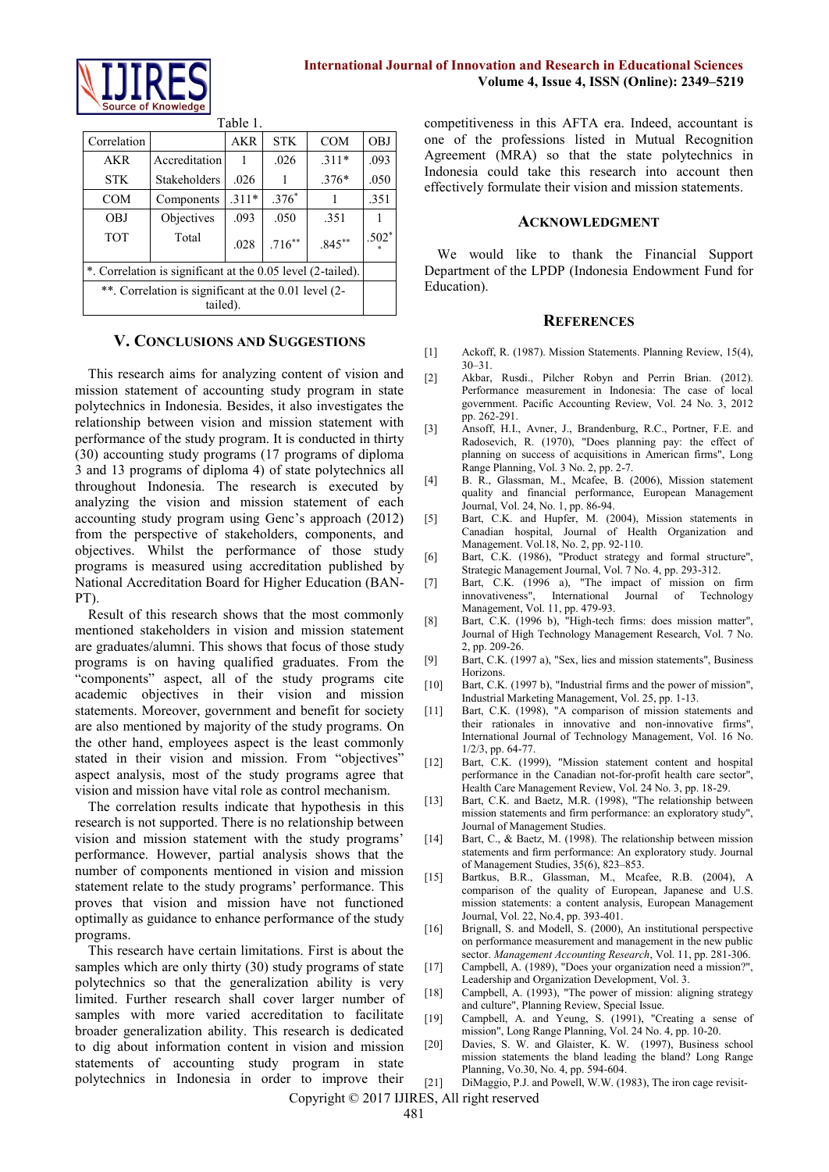

 $T_2$ kla $1.1$ 

| TAUIC <sub>I</sub> .                                             |                     |         |            |            |            |
|------------------------------------------------------------------|---------------------|---------|------------|------------|------------|
| Correlation                                                      |                     | AKR     | <b>STK</b> | <b>COM</b> | <b>OBJ</b> |
| AKR                                                              | Accreditation       |         | .026       | $.311*$    | .093       |
| <b>STK</b>                                                       | <b>Stakeholders</b> | .026    |            | $.376*$    | .050       |
| <b>COM</b>                                                       | Components          | $.311*$ | $.376*$    |            | .351       |
| OBJ                                                              | Objectives          | .093    | .050       | .351       |            |
| <b>TOT</b>                                                       | Total               | .028    | $.716***$  | $.845**$   | $.502*$    |
| *. Correlation is significant at the 0.05 level (2-tailed).      |                     |         |            |            |            |
| **. Correlation is significant at the 0.01 level (2-<br>tailed). |                     |         |            |            |            |

#### **V. CONCLUSIONS AND SUGGESTIONS**

This research aims for analyzing content of vision and mission statement of accounting study program in state polytechnics in Indonesia. Besides, it also investigates the relationship between vision and mission statement with performance of the study program. It is conducted in thirty (30) accounting study programs (17 programs of diploma 3 and 13 programs of diploma 4) of state polytechnics all throughout Indonesia. The research is executed by analyzing the vision and mission statement of each accounting study program using Genc's approach (2012) from the perspective of stakeholders, components, and objectives. Whilst the performance of those study programs is measured using accreditation published by National Accreditation Board for Higher Education (BAN-PT).

Result of this research shows that the most commonly mentioned stakeholders in vision and mission statement are graduates/alumni. This shows that focus of those study programs is on having qualified graduates. From the "components" aspect, all of the study programs cite academic objectives in their vision and mission statements. Moreover, government and benefit for society are also mentioned by majority of the study programs. On the other hand, employees aspect is the least commonly stated in their vision and mission. From "objectives" aspect analysis, most of the study programs agree that vision and mission have vital role as control mechanism.

The correlation results indicate that hypothesis in this research is not supported. There is no relationship between vision and mission statement with the study programs' performance. However, partial analysis shows that the number of components mentioned in vision and mission statement relate to the study programs' performance. This proves that vision and mission have not functioned optimally as guidance to enhance performance of the study programs.

This research have certain limitations. First is about the samples which are only thirty (30) study programs of state polytechnics so that the generalization ability is very limited. Further research shall cover larger number of samples with more varied accreditation to facilitate broader generalization ability. This research is dedicated to dig about information content in vision and mission statements of accounting study program in state polytechnics in Indonesia in order to improve their competitiveness in this AFTA era. Indeed, accountant is one of the professions listed in Mutual Recognition Agreement (MRA) so that the state polytechnics in Indonesia could take this research into account then effectively formulate their vision and mission statements.

#### **ACKNOWLEDGMENT**

We would like to thank the Financial Support Department of the LPDP (Indonesia Endowment Fund for Education).

#### **REFERENCES**

- [1] Ackoff, R. (1987). Mission Statements. Planning Review, 15(4), 30–31.
- [2] Akbar, Rusdi., Pilcher Robyn and Perrin Brian. (2012). Performance measurement in Indonesia: The case of local government. Pacific Accounting Review, Vol. 24 No. 3, 2012 pp. 262-291.
- [3] Ansoff, H.I., Avner, J., Brandenburg, R.C., Portner, F.E. and Radosevich, R. (1970), "Does planning pay: the effect of planning on success of acquisitions in American firms", Long Range Planning, Vol. 3 No. 2, pp. 2-7.
- [4] B. R., Glassman, M., Mcafee, B. (2006), Mission statement quality and financial performance, European Management Journal, Vol. 24, No. 1, pp. 86-94.
- [5] Bart, C.K. and Hupfer, M. (2004), Mission statements in Canadian hospital, Journal of Health Organization and Management. Vol.18, No. 2, pp. 92-110.
- [6] Bart, C.K. (1986), "Product strategy and formal structure", Strategic Management Journal, Vol. 7 No. 4, pp. 293-312.
- [7] Bart, C.K. (1996 a), "The impact of mission on firm innovativeness", International Journal of Technology Management, Vol. 11, pp. 479-93.
- [8] Bart, C.K. (1996 b), "High-tech firms: does mission matter", Journal of High Technology Management Research, Vol. 7 No. 2, pp. 209-26.
- [9] Bart, C.K. (1997 a), "Sex, lies and mission statements", Business Horizons.
- [10] Bart, C.K. (1997 b), "Industrial firms and the power of mission", Industrial Marketing Management, Vol. 25, pp. 1-13.
- [11] Bart, C.K. (1998), "A comparison of mission statements and their rationales in innovative and non-innovative firms", International Journal of Technology Management, Vol. 16 No. 1/2/3, pp. 64-77.
- [12] Bart, C.K. (1999), "Mission statement content and hospital performance in the Canadian not-for-profit health care sector", Health Care Management Review, Vol. 24 No. 3, pp. 18-29.
- [13] Bart, C.K. and Baetz, M.R. (1998), "The relationship between mission statements and firm performance: an exploratory study", Journal of Management Studies.
- [14] Bart, C., & Baetz, M. (1998). The relationship between mission statements and firm performance: An exploratory study. Journal of Management Studies, 35(6), 823–853.
- [15] Bartkus, B.R., Glassman, M., Mcafee, R.B. (2004), A comparison of the quality of European, Japanese and U.S. mission statements: a content analysis, European Management Journal, Vol. 22, No.4, pp. 393-401.
- [16] Brignall, S. and Modell, S. (2000), An institutional perspective on performance measurement and management in the new public sector. *Management Accounting Research*, Vol. 11, pp. 281-306.
- [17] Campbell, A. (1989), "Does your organization need a mission?", Leadership and Organization Development, Vol. 3.
- [18] Campbell, A. (1993), "The power of mission: aligning strategy and culture", Planning Review, Special Issue.
- [19] Campbell, A. and Yeung, S. (1991), "Creating a sense of mission", Long Range Planning, Vol. 24 No. 4, pp. 10-20.
- [20] Davies, S. W. and Glaister, K. W. (1997), Business school mission statements the bland leading the bland? Long Range Planning, Vo.30, No. 4, pp. 594-604.
- [21] DiMaggio, P.J. and Powell, W.W. (1983), The iron cage revisit-

Copyright © 2017 IJIRES, All right reserved